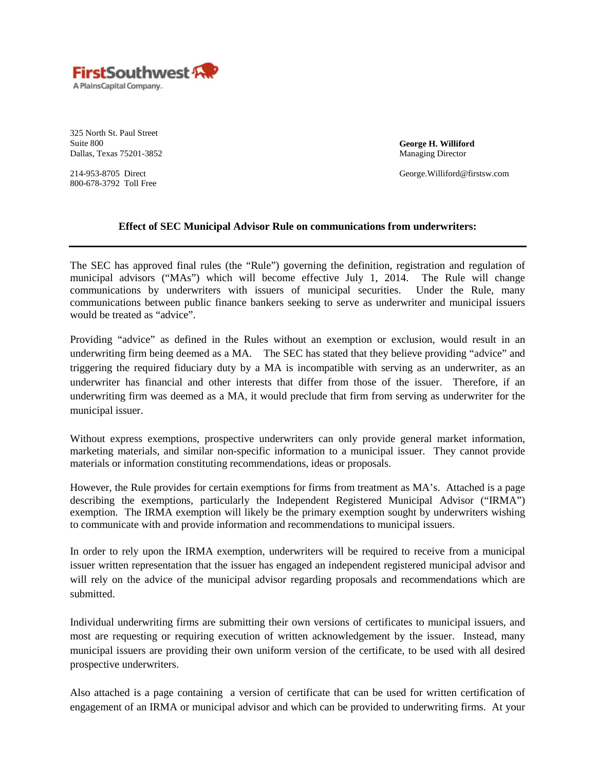

325 North St. Paul Street Suite 800 Dallas, Texas 75201-3852

**George H. Williford** Managing Director

George.Williford@firstsw.com

214-953-8705 Direct 800-678-3792 Toll Free

## **Effect of SEC Municipal Advisor Rule on communications from underwriters:**

The SEC has approved final rules (the "Rule") governing the definition, registration and regulation of municipal advisors ("MAs") which will become effective July 1, 2014. The Rule will change communications by underwriters with issuers of municipal securities. Under the Rule, many communications between public finance bankers seeking to serve as underwriter and municipal issuers would be treated as "advice".

Providing "advice" as defined in the Rules without an exemption or exclusion, would result in an underwriting firm being deemed as a MA. The SEC has stated that they believe providing "advice" and triggering the required fiduciary duty by a MA is incompatible with serving as an underwriter, as an underwriter has financial and other interests that differ from those of the issuer. Therefore, if an underwriting firm was deemed as a MA, it would preclude that firm from serving as underwriter for the municipal issuer.

Without express exemptions, prospective underwriters can only provide general market information, marketing materials, and similar non-specific information to a municipal issuer. They cannot provide materials or information constituting recommendations, ideas or proposals.

However, the Rule provides for certain exemptions for firms from treatment as MA's. Attached is a page describing the exemptions, particularly the Independent Registered Municipal Advisor ("IRMA") exemption. The IRMA exemption will likely be the primary exemption sought by underwriters wishing to communicate with and provide information and recommendations to municipal issuers.

In order to rely upon the IRMA exemption, underwriters will be required to receive from a municipal issuer written representation that the issuer has engaged an independent registered municipal advisor and will rely on the advice of the municipal advisor regarding proposals and recommendations which are submitted.

Individual underwriting firms are submitting their own versions of certificates to municipal issuers, and most are requesting or requiring execution of written acknowledgement by the issuer. Instead, many municipal issuers are providing their own uniform version of the certificate, to be used with all desired prospective underwriters.

Also attached is a page containing a version of certificate that can be used for written certification of engagement of an IRMA or municipal advisor and which can be provided to underwriting firms. At your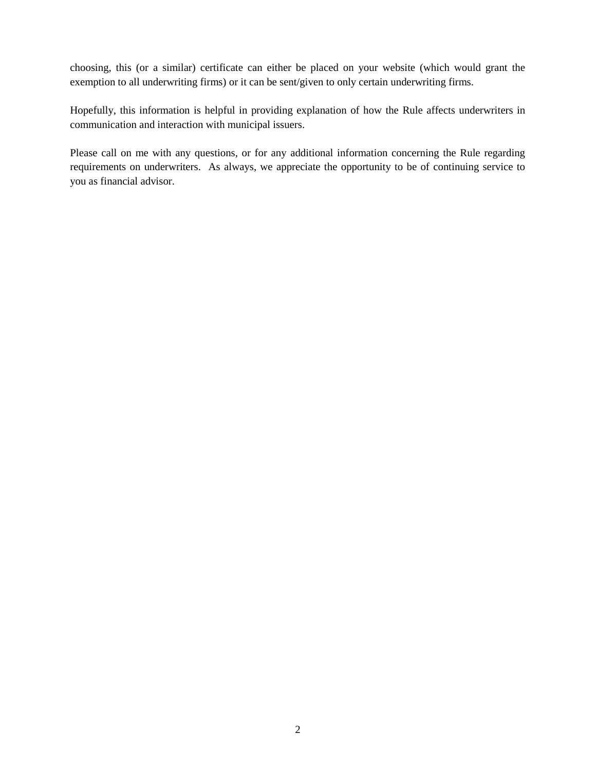choosing, this (or a similar) certificate can either be placed on your website (which would grant the exemption to all underwriting firms) or it can be sent/given to only certain underwriting firms.

Hopefully, this information is helpful in providing explanation of how the Rule affects underwriters in communication and interaction with municipal issuers.

Please call on me with any questions, or for any additional information concerning the Rule regarding requirements on underwriters. As always, we appreciate the opportunity to be of continuing service to you as financial advisor.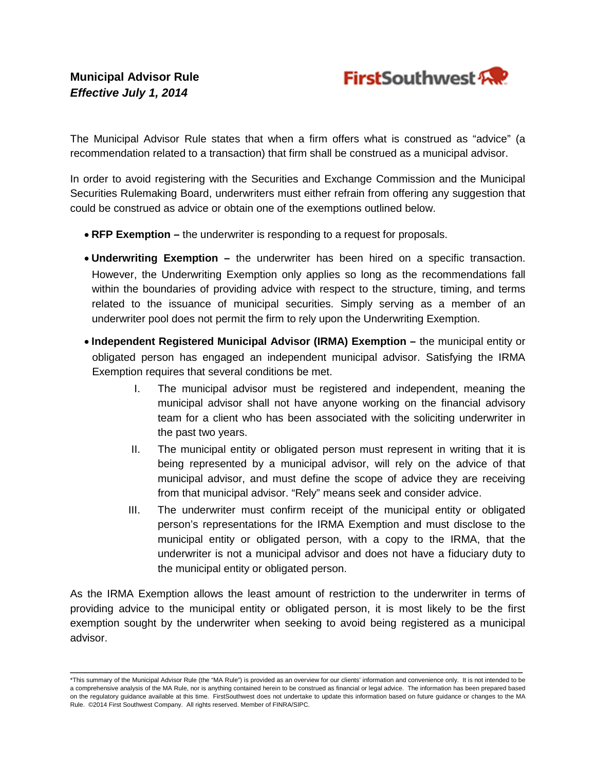

The Municipal Advisor Rule states that when a firm offers what is construed as "advice" (a recommendation related to a transaction) that firm shall be construed as a municipal advisor.

In order to avoid registering with the Securities and Exchange Commission and the Municipal Securities Rulemaking Board, underwriters must either refrain from offering any suggestion that could be construed as advice or obtain one of the exemptions outlined below.

- **RFP Exemption –** the underwriter is responding to a request for proposals.
- **Underwriting Exemption –** the underwriter has been hired on a specific transaction. However, the Underwriting Exemption only applies so long as the recommendations fall within the boundaries of providing advice with respect to the structure, timing, and terms related to the issuance of municipal securities. Simply serving as a member of an underwriter pool does not permit the firm to rely upon the Underwriting Exemption.
- **Independent Registered Municipal Advisor (IRMA) Exemption –** the municipal entity or obligated person has engaged an independent municipal advisor. Satisfying the IRMA Exemption requires that several conditions be met.
	- I. The municipal advisor must be registered and independent, meaning the municipal advisor shall not have anyone working on the financial advisory team for a client who has been associated with the soliciting underwriter in the past two years.
	- II. The municipal entity or obligated person must represent in writing that it is being represented by a municipal advisor, will rely on the advice of that municipal advisor, and must define the scope of advice they are receiving from that municipal advisor. "Rely" means seek and consider advice.
	- III. The underwriter must confirm receipt of the municipal entity or obligated person's representations for the IRMA Exemption and must disclose to the municipal entity or obligated person, with a copy to the IRMA, that the underwriter is not a municipal advisor and does not have a fiduciary duty to the municipal entity or obligated person.

As the IRMA Exemption allows the least amount of restriction to the underwriter in terms of providing advice to the municipal entity or obligated person, it is most likely to be the first exemption sought by the underwriter when seeking to avoid being registered as a municipal advisor.

\_\_\_\_\_\_\_\_\_\_\_\_\_\_\_\_\_\_\_\_\_\_\_\_\_\_\_\_\_\_\_\_\_\_\_\_\_\_\_\_\_\_\_\_\_\_\_\_\_\_\_\_\_\_\_\_\_\_\_\_\_\_ \*This summary of the Municipal Advisor Rule (the "MA Rule") is provided as an overview for our clients' information and convenience only. It is not intended to be a comprehensive analysis of the MA Rule, nor is anything contained herein to be construed as financial or legal advice. The information has been prepared based on the regulatory guidance available at this time. FirstSouthwest does not undertake to update this information based on future guidance or changes to the MA Rule. ©2014 First Southwest Company. All rights reserved. Member of FINRA/SIPC.